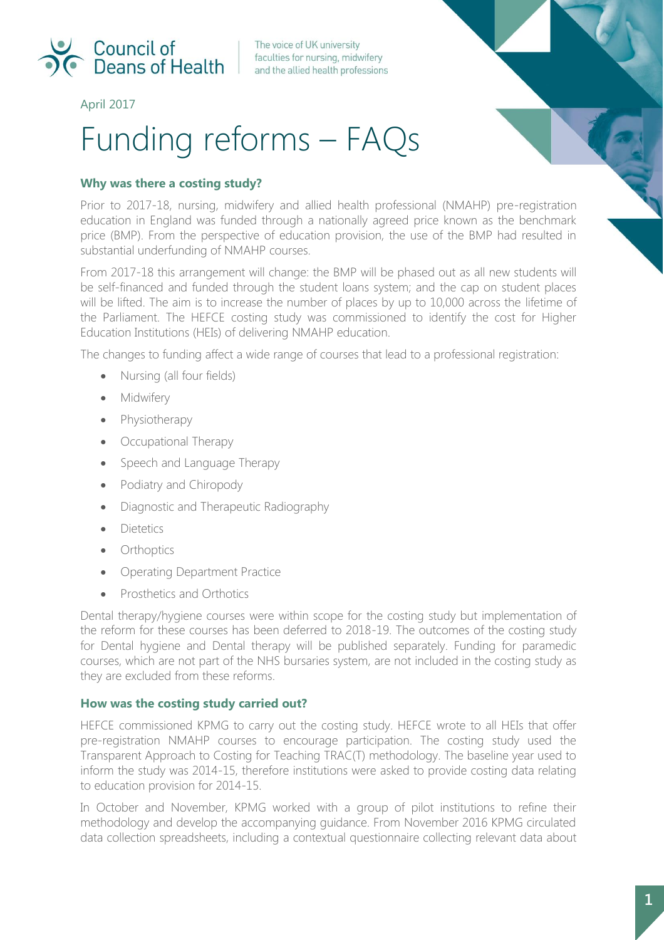

The voice of UK university faculties for nursing, midwifery and the allied health professions

April 2017

# Funding reforms – FAQs



# **Why was there a costing study?**

Prior to 2017-18, nursing, midwifery and allied health professional (NMAHP) pre-registration education in England was funded through a nationally agreed price known as the benchmark price (BMP). From the perspective of education provision, the use of the BMP had resulted in substantial underfunding of NMAHP courses.

From 2017-18 this arrangement will change: the BMP will be phased out as all new students will be self-financed and funded through the student loans system; and the cap on student places will be lifted. The aim is to increase the number of places by up to 10,000 across the lifetime of the Parliament. The HEFCE costing study was commissioned to identify the cost for Higher Education Institutions (HEIs) of delivering NMAHP education.

The changes to funding affect a wide range of courses that lead to a professional registration:

- Nursing (all four fields)
- Midwifery
- Physiotherapy
- Occupational Therapy
- Speech and Language Therapy
- Podiatry and Chiropody
- Diagnostic and Therapeutic Radiography
- Dietetics
- Orthoptics
- Operating Department Practice
- Prosthetics and Orthotics

Dental therapy/hygiene courses were within scope for the costing study but implementation of the reform for these courses has been deferred to 2018-19. The outcomes of the costing study for Dental hygiene and Dental therapy will be published separately. Funding for paramedic courses, which are not part of the NHS bursaries system, are not included in the costing study as they are excluded from these reforms.

## **How was the costing study carried out?**

HEFCE commissioned KPMG to carry out the costing study. HEFCE wrote to all HEIs that offer pre-registration NMAHP courses to encourage participation. The costing study used the Transparent Approach to Costing for Teaching TRAC(T) methodology. The baseline year used to inform the study was 2014-15, therefore institutions were asked to provide costing data relating to education provision for 2014-15.

In October and November, KPMG worked with a group of pilot institutions to refine their methodology and develop the accompanying guidance. From November 2016 KPMG circulated data collection spreadsheets, including a contextual questionnaire collecting relevant data about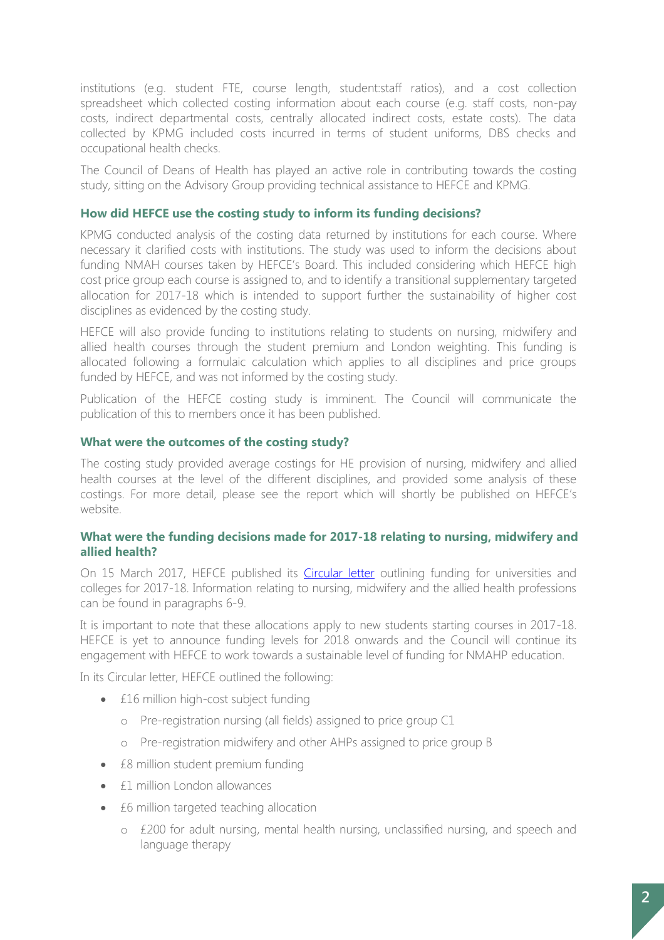institutions (e.g. student FTE, course length, student:staff ratios), and a cost collection spreadsheet which collected costing information about each course (e.g. staff costs, non-pay costs, indirect departmental costs, centrally allocated indirect costs, estate costs). The data collected by KPMG included costs incurred in terms of student uniforms, DBS checks and occupational health checks.

The Council of Deans of Health has played an active role in contributing towards the costing study, sitting on the Advisory Group providing technical assistance to HEFCE and KPMG.

## **How did HEFCE use the costing study to inform its funding decisions?**

KPMG conducted analysis of the costing data returned by institutions for each course. Where necessary it clarified costs with institutions. The study was used to inform the decisions about funding NMAH courses taken by HEFCE's Board. This included considering which HEFCE high cost price group each course is assigned to, and to identify a transitional supplementary targeted allocation for 2017-18 which is intended to support further the sustainability of higher cost disciplines as evidenced by the costing study.

HEFCE will also provide funding to institutions relating to students on nursing, midwifery and allied health courses through the student premium and London weighting. This funding is allocated following a formulaic calculation which applies to all disciplines and price groups funded by HEFCE, and was not informed by the costing study.

Publication of the HEFCE costing study is imminent. The Council will communicate the publication of this to members once it has been published.

## **What were the outcomes of the costing study?**

The costing study provided average costings for HE provision of nursing, midwifery and allied health courses at the level of the different disciplines, and provided some analysis of these costings. For more detail, please see the report which will shortly be published on HEFCE's website.

## **What were the funding decisions made for 2017-18 relating to nursing, midwifery and allied health?**

On 15 March 2017, HEFCE published its [Circular letter](http://www.hefce.ac.uk/pubs/year/2017/CL,062017/) outlining funding for universities and colleges for 2017-18. Information relating to nursing, midwifery and the allied health professions can be found in paragraphs 6-9.

It is important to note that these allocations apply to new students starting courses in 2017-18. HEFCE is yet to announce funding levels for 2018 onwards and the Council will continue its engagement with HEFCE to work towards a sustainable level of funding for NMAHP education.

In its Circular letter, HEFCE outlined the following:

- £16 million high-cost subject funding
	- o Pre-registration nursing (all fields) assigned to price group C1
	- o Pre-registration midwifery and other AHPs assigned to price group B
- £8 million student premium funding
- £1 million London allowances
- £6 million targeted teaching allocation
	- o £200 for adult nursing, mental health nursing, unclassified nursing, and speech and language therapy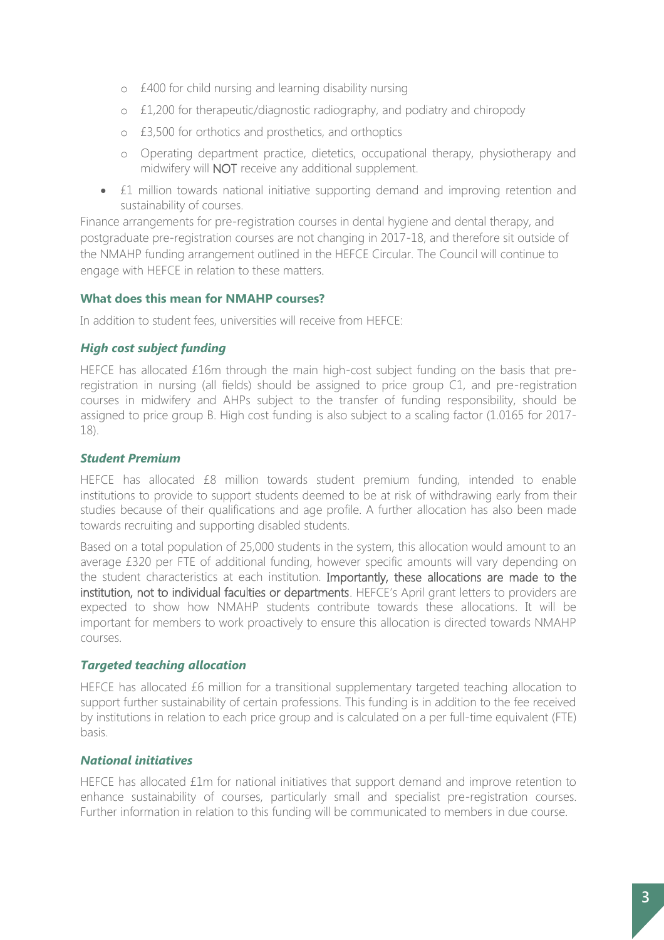- o £400 for child nursing and learning disability nursing
- o £1,200 for therapeutic/diagnostic radiography, and podiatry and chiropody
- o £3,500 for orthotics and prosthetics, and orthoptics
- o Operating department practice, dietetics, occupational therapy, physiotherapy and midwifery will NOT receive any additional supplement.
- £1 million towards national initiative supporting demand and improving retention and sustainability of courses.

Finance arrangements for pre-registration courses in dental hygiene and dental therapy, and postgraduate pre-registration courses are not changing in 2017-18, and therefore sit outside of the NMAHP funding arrangement outlined in the HEFCE Circular. The Council will continue to engage with HEFCE in relation to these matters.

## **What does this mean for NMAHP courses?**

In addition to student fees, universities will receive from HEFCE:

# *High cost subject funding*

HEFCE has allocated £16m through the main high-cost subject funding on the basis that preregistration in nursing (all fields) should be assigned to price group C1, and pre-registration courses in midwifery and AHPs subject to the transfer of funding responsibility, should be assigned to price group B. High cost funding is also subject to a scaling factor (1.0165 for 2017- 18).

# *Student Premium*

HEFCE has allocated £8 million towards student premium funding, intended to enable institutions to provide to support students deemed to be at risk of withdrawing early from their studies because of their qualifications and age profile. A further allocation has also been made towards recruiting and supporting disabled students.

Based on a total population of 25,000 students in the system, this allocation would amount to an average £320 per FTE of additional funding, however specific amounts will vary depending on the student characteristics at each institution. Importantly, these allocations are made to the institution, not to individual faculties or departments. HEFCE's April grant letters to providers are expected to show how NMAHP students contribute towards these allocations. It will be important for members to work proactively to ensure this allocation is directed towards NMAHP courses.

## *Targeted teaching allocation*

HEFCE has allocated £6 million for a transitional supplementary targeted teaching allocation to support further sustainability of certain professions. This funding is in addition to the fee received by institutions in relation to each price group and is calculated on a per full-time equivalent (FTE) basis.

## *National initiatives*

HEFCE has allocated £1m for national initiatives that support demand and improve retention to enhance sustainability of courses, particularly small and specialist pre-registration courses. Further information in relation to this funding will be communicated to members in due course.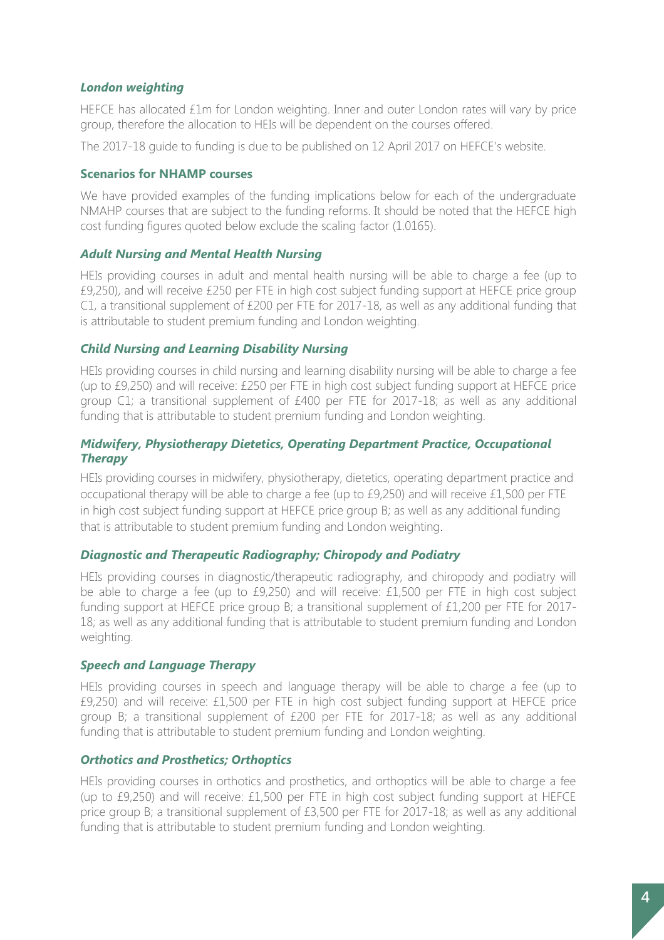# *London weighting*

HEFCE has allocated £1m for London weighting. Inner and outer London rates will vary by price group, therefore the allocation to HEIs will be dependent on the courses offered.

The 2017-18 guide to funding is due to be published on 12 April 2017 on HEFCE's website.

## **Scenarios for NHAMP courses**

We have provided examples of the funding implications below for each of the undergraduate NMAHP courses that are subject to the funding reforms. It should be noted that the HEFCE high cost funding figures quoted below exclude the scaling factor (1.0165).

#### *Adult Nursing and Mental Health Nursing*

HEIs providing courses in adult and mental health nursing will be able to charge a fee (up to £9,250), and will receive £250 per FTE in high cost subject funding support at HEFCE price group C1, a transitional supplement of £200 per FTE for 2017-18, as well as any additional funding that is attributable to student premium funding and London weighting.

## *Child Nursing and Learning Disability Nursing*

HEIs providing courses in child nursing and learning disability nursing will be able to charge a fee (up to £9,250) and will receive: £250 per FTE in high cost subject funding support at HEFCE price group C1; a transitional supplement of £400 per FTE for 2017-18; as well as any additional funding that is attributable to student premium funding and London weighting.

## *Midwifery, Physiotherapy Dietetics, Operating Department Practice, Occupational Therapy*

HEIs providing courses in midwifery, physiotherapy, dietetics, operating department practice and occupational therapy will be able to charge a fee (up to £9,250) and will receive £1,500 per FTE in high cost subject funding support at HEFCE price group B; as well as any additional funding that is attributable to student premium funding and London weighting.

#### *Diagnostic and Therapeutic Radiography; Chiropody and Podiatry*

HEIs providing courses in diagnostic/therapeutic radiography, and chiropody and podiatry will be able to charge a fee (up to £9,250) and will receive: £1,500 per FTE in high cost subject funding support at HEFCE price group B; a transitional supplement of £1,200 per FTE for 2017- 18; as well as any additional funding that is attributable to student premium funding and London weighting.

#### *Speech and Language Therapy*

HEIs providing courses in speech and language therapy will be able to charge a fee (up to £9,250) and will receive: £1,500 per FTE in high cost subject funding support at HEFCE price group B; a transitional supplement of £200 per FTE for 2017-18; as well as any additional funding that is attributable to student premium funding and London weighting.

## *Orthotics and Prosthetics; Orthoptics*

HEIs providing courses in orthotics and prosthetics, and orthoptics will be able to charge a fee (up to £9,250) and will receive: £1,500 per FTE in high cost subject funding support at HEFCE price group B; a transitional supplement of £3,500 per FTE for 2017-18; as well as any additional funding that is attributable to student premium funding and London weighting.